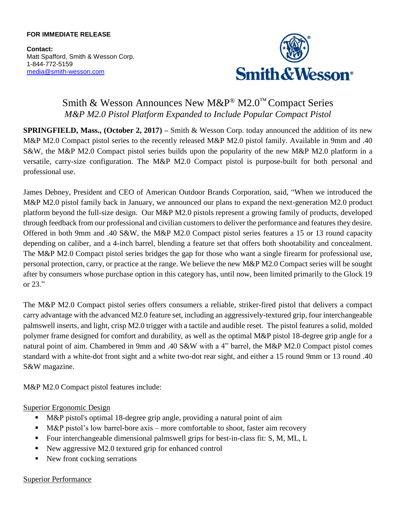#### **FOR IMMEDIATE RELEASE**

**Contact:** Matt Spafford, Smith & Wesson Corp. 1-844-772-5159 [media@smith-wesson.com](mailto:media@smith-wesson.com)



# Smith & Wesson Announces New M&P® M2.0™ Compact Series *M&P M2.0 Pistol Platform Expanded to Include Popular Compact Pistol*

**SPRINGFIELD, Mass., (October 2, 2017)** – Smith & Wesson Corp. today announced the addition of its new M&P M2.0 Compact pistol series to the recently released M&P M2.0 pistol family. Available in 9mm and .40 S&W, the M&P M2.0 Compact pistol series builds upon the popularity of the new M&P M2.0 platform in a versatile, carry-size configuration. The M&P M2.0 Compact pistol is purpose-built for both personal and professional use.

James Debney, President and CEO of American Outdoor Brands Corporation, said, "When we introduced the M&P M2.0 pistol family back in January, we announced our plans to expand the next-generation M2.0 product platform beyond the full-size design. Our M&P M2.0 pistols represent a growing family of products, developed through feedback from our professional and civilian customers to deliver the performance and features they desire. Offered in both 9mm and .40 S&W, the M&P M2.0 Compact pistol series features a 15 or 13 round capacity depending on caliber, and a 4-inch barrel, blending a feature set that offers both shootability and concealment. The M&P M2.0 Compact pistol series bridges the gap for those who want a single firearm for professional use, personal protection, carry, or practice at the range. We believe the new M&P M2.0 Compact series will be sought after by consumers whose purchase option in this category has, until now, been limited primarily to the Glock 19 or 23."

The M&P M2.0 Compact pistol series offers consumers a reliable, striker-fired pistol that delivers a compact carry advantage with the advanced M2.0 feature set, including an aggressively-textured grip, four interchangeable palmswell inserts, and light, crisp M2.0 trigger with a tactile and audible reset. The pistol features a solid, molded polymer frame designed for comfort and durability, as well as the optimal M&P pistol 18-degree grip angle for a natural point of aim. Chambered in 9mm and .40 S&W with a 4" barrel, the M&P M2.0 Compact pistol comes standard with a white-dot front sight and a white two-dot rear sight, and either a 15 round 9mm or 13 round .40 S&W magazine.

M&P M2.0 Compact pistol features include:

## Superior Ergonomic Design

- M&P pistol's optimal 18-degree grip angle, providing a natural point of aim
- M&P pistol's low barrel-bore axis more comfortable to shoot, faster aim recovery
- Four interchangeable dimensional palmswell grips for best-in-class fit: S, M, ML, L
- New aggressive M2.0 textured grip for enhanced control
- New front cocking serrations

#### Superior Performance